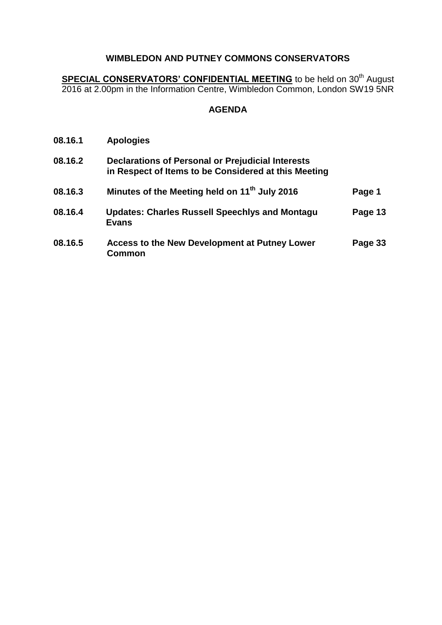**SPECIAL CONSERVATORS' CONFIDENTIAL MEETING** to be held on 30<sup>th</sup> August 2016 at 2.00pm in the Information Centre, Wimbledon Common, London SW19 5NR

| 08.16.1 | <b>Apologies</b>                                                                                                 |         |
|---------|------------------------------------------------------------------------------------------------------------------|---------|
| 08.16.2 | <b>Declarations of Personal or Prejudicial Interests</b><br>in Respect of Items to be Considered at this Meeting |         |
| 08.16.3 | Minutes of the Meeting held on 11 <sup>th</sup> July 2016                                                        | Page 1  |
| 08.16.4 | <b>Updates: Charles Russell Speechlys and Montagu</b><br><b>Evans</b>                                            | Page 13 |
| 08.16.5 | <b>Access to the New Development at Putney Lower</b><br>Common                                                   | Page 33 |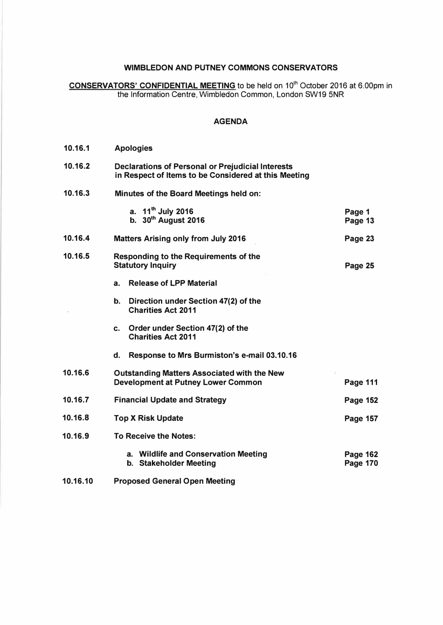**CONSERVATORS' CONFIDENTIAL MEETING to be held on 10th October 2016 at 6.00pm in the Information Centre, Wimbledon Common, London SW19 5NR** 

| 10.16.1  | <b>Apologies</b>                                                                                                 |                                    |
|----------|------------------------------------------------------------------------------------------------------------------|------------------------------------|
| 10.16.2  | <b>Declarations of Personal or Prejudicial Interests</b><br>in Respect of Items to be Considered at this Meeting |                                    |
| 10.16.3  | Minutes of the Board Meetings held on:                                                                           |                                    |
|          | a. $11^{th}$ July 2016<br>b. $30th$ August 2016                                                                  | Page 1<br>Page 13                  |
| 10.16.4  | <b>Matters Arising only from July 2016</b>                                                                       | Page 23                            |
| 10.16.5  | <b>Responding to the Requirements of the</b><br><b>Statutory Inquiry</b>                                         | Page 25                            |
|          | <b>Release of LPP Material</b><br>а.                                                                             |                                    |
|          | Direction under Section 47(2) of the<br>b.<br><b>Charities Act 2011</b>                                          |                                    |
|          | Order under Section 47(2) of the<br>C.<br><b>Charities Act 2011</b>                                              |                                    |
|          | Response to Mrs Burmiston's e-mail 03.10.16<br>d.                                                                |                                    |
| 10.16.6  | <b>Outstanding Matters Associated with the New</b><br><b>Development at Putney Lower Common</b>                  | <b>Page 111</b>                    |
| 10.16.7  | <b>Financial Update and Strategy</b>                                                                             | <b>Page 152</b>                    |
| 10.16.8  | <b>Top X Risk Update</b>                                                                                         | Page 157                           |
| 10.16.9  | <b>To Receive the Notes:</b>                                                                                     |                                    |
|          | a. Wildlife and Conservation Meeting<br>b. Stakeholder Meeting                                                   | <b>Page 162</b><br><b>Page 170</b> |
| 10.16.10 | <b>Proposed General Open Meeting</b>                                                                             |                                    |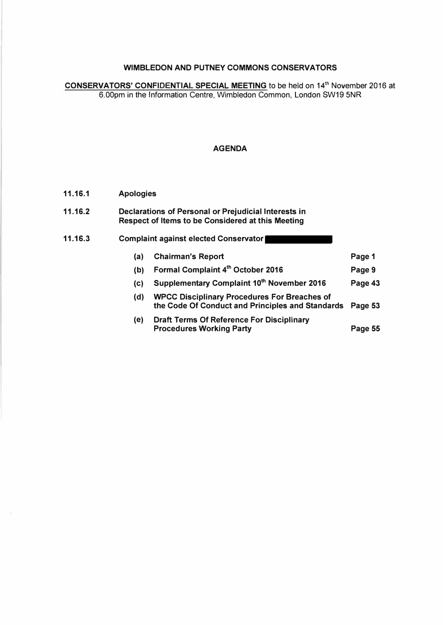**CONSERVATORS' CONFIDENTIAL SPECIAL MEETING to be held on 14**th **November 2016 at 6.00pm in the Information Centre, Wimbledon Common, London SW19 5NR** 

#### **AGENDA**

#### **11.16.1 Apologies**

| 11.16.2 | Declarations of Personal or Prejudicial Interests in |
|---------|------------------------------------------------------|
|         | Respect of Items to be Considered at this Meeting    |

#### **11.16.3 Complaint against elected Conservator (a) Chairman's Report (b) Formal Complaint 4 th October 2016 (c) Supplementary Complaint 10th November 2016 (d) WPCC Disciplinary Procedures For Breaches of the Code Of Conduct and Principles and Standards Page 53 Page 1 Page 9 Page 43**

**(e) Draft Terms Of Reference For Disciplinary Procedures Working Party Page 55**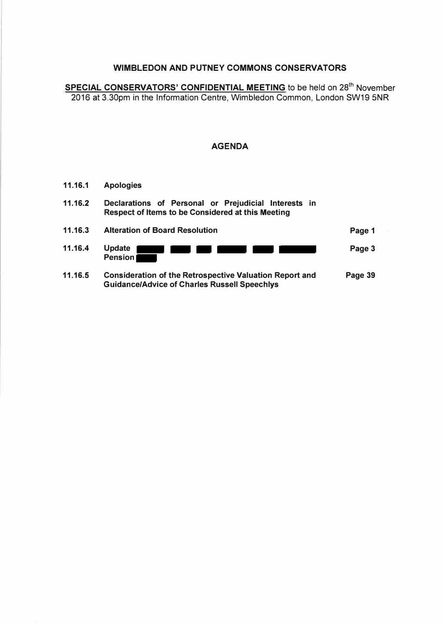SPECIAL CONSERVATORS' CONFIDENTIAL MEETING to be held on 28<sup>th</sup> November 2016 at 3.30pm in the Information Centre, Wimbledon Common, London SW19 5NR

- **11.16.1 Apologies 11.16.2 Declarations of Personal or Prejudicial Interests in Respect of Items to be Considered at this Meeting 11.16.3 Alteration of Board Resolution 11.16.4 Update Pension Page 1 Page 3**
- **11.16.5 Consideration of the Retrospective Valuation Report and Guidance/Advice of Charles Russell Speechlys Page 39**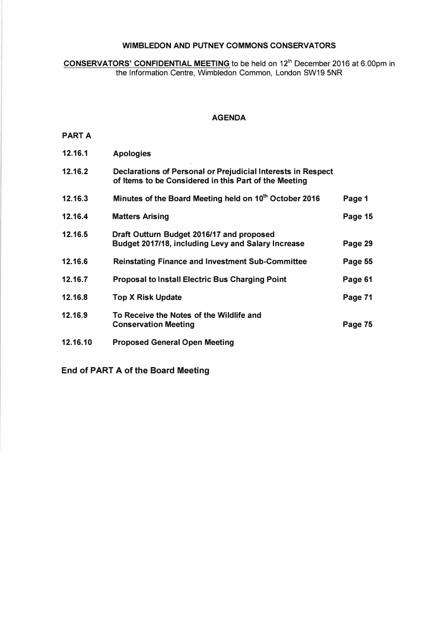**CONSERVATORS' CONFIDENTIAL MEETING** to be held on 12<sup>th</sup> December 2016 at 6.00pm in the Information Centre, Wimbledon Common, London SW19 5NR

#### **AGENDA**

#### **PART A**

| 12.16.1  | <b>Apologies</b>                                                                                                      |         |
|----------|-----------------------------------------------------------------------------------------------------------------------|---------|
| 12.16.2  | Declarations of Personal or Prejudicial Interests in Respect<br>of Items to be Considered in this Part of the Meeting |         |
| 12.16.3  | Minutes of the Board Meeting held on 10 <sup>th</sup> October 2016                                                    | Page 1  |
| 12.16.4  | <b>Matters Arising</b>                                                                                                | Page 15 |
| 12.16.5  | Draft Outturn Budget 2016/17 and proposed<br>Budget 2017/18, including Levy and Salary Increase                       | Page 29 |
| 12.16.6  | <b>Reinstating Finance and Investment Sub-Committee</b>                                                               | Page 55 |
| 12.16.7  | <b>Proposal to Install Electric Bus Charging Point</b>                                                                | Page 61 |
| 12.16.8  | <b>Top X Risk Update</b>                                                                                              | Page 71 |
| 12.16.9  | To Receive the Notes of the Wildlife and<br><b>Conservation Meeting</b>                                               | Page 75 |
| 12.16.10 | <b>Proposed General Open Meeting</b>                                                                                  |         |

**End of PART A of the Board Meeting**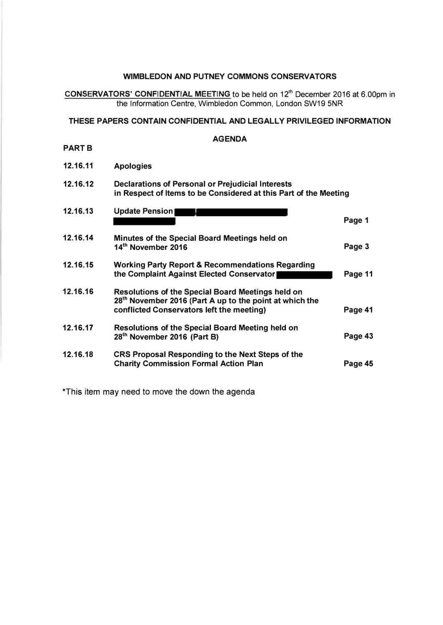**CONSERVATORS' CONFIDENTIAL MEETING** to be held on 12<sup>th</sup> December 2016 at 6.00pm in the Information Centre, Wimbledon Common, London SW19 5NR

#### **THESE PAPERS CONTAIN CONFIDENTIAL AND LEGALLY PRIVILEGED INFORMATION**

#### **AGENDA**

**PART B** 

**12.16.11 Apologies** 

#### **12.16.12 Declarations of Personal or Prejudicial Interests in Respect of Items to be Considered at this Part of the Meeting**

| 12.16.13 | <b>Update Pension</b>                                                                                                                                                        | Page 1  |
|----------|------------------------------------------------------------------------------------------------------------------------------------------------------------------------------|---------|
| 12.16.14 | Minutes of the Special Board Meetings held on<br>14 <sup>th</sup> November 2016                                                                                              | Page 3  |
| 12.16.15 | <b>Working Party Report &amp; Recommendations Regarding</b><br>the Complaint Against Elected Conservator                                                                     | Page 11 |
| 12.16.16 | <b>Resolutions of the Special Board Meetings held on</b><br>28 <sup>th</sup> November 2016 (Part A up to the point at which the<br>conflicted Conservators left the meeting) | Page 41 |
| 12.16.17 | Resolutions of the Special Board Meeting held on<br>28 <sup>th</sup> November 2016 (Part B)                                                                                  | Page 43 |
| 12.16.18 | CRS Proposal Responding to the Next Steps of the<br><b>Charity Commission Formal Action Plan</b>                                                                             | Page 45 |

\*This item may need to move the down the agenda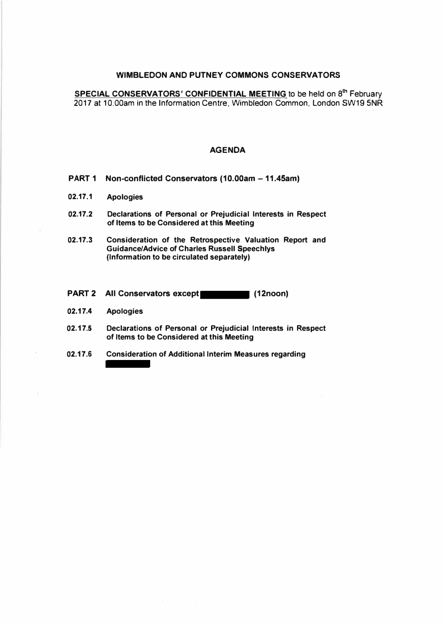**SPECIAL CONSERVATORS' CONFIDENTIAL MEETING** to be held on **8 th** February 2017 at 10.00am in the Information Centre, Wimbledon Common, London SW19 5NR

- PART 1 Non-conflicted Conservators (10.00am 11.45am)
- **02.17.1 Apologies**
- **02.17.2 Declarations of Personal or Prejudicial Interests in Respect of Items to be Considered at this Meeting**
- **02.17.3 Consideration of the Retrospective Valuation Report and Guidance/Advice of Charles Russell Speechlys (Information to be circulated separately)**
- **PART 2** All Conservators except (12noon)
- **02.17.4 Apologies**
- **02.17 .5 Declarations of Personal or Prejudicial Interests in Respect of Items to be Considered at this Meeting**
- **02.17.6 Consideration of Additional Interim Measures regarding**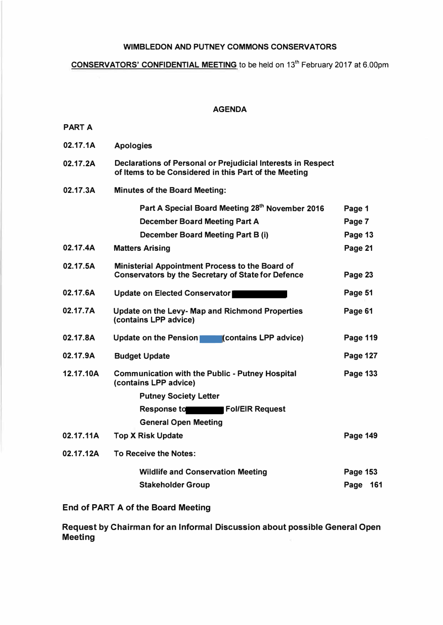## **CONSERVATORS' CONFIDENTIAL MEETING to be held on 13**th **February 2017 at 6.00pm**

#### **AGENDA**

| ъ<br>۰.<br>ı. |  |
|---------------|--|
|---------------|--|

| 02.17.1A  | <b>Apologies</b>                                                                                                      |                 |     |
|-----------|-----------------------------------------------------------------------------------------------------------------------|-----------------|-----|
| 02.17.2A  | Declarations of Personal or Prejudicial Interests in Respect<br>of Items to be Considered in this Part of the Meeting |                 |     |
| 02.17.3A  | <b>Minutes of the Board Meeting:</b>                                                                                  |                 |     |
|           | Part A Special Board Meeting 28th November 2016                                                                       | Page 1          |     |
|           | <b>December Board Meeting Part A</b>                                                                                  | Page 7          |     |
|           | <b>December Board Meeting Part B (i)</b>                                                                              | Page 13         |     |
| 02.17.4A  | <b>Matters Arising</b>                                                                                                | Page 21         |     |
| 02.17.5A  | <b>Ministerial Appointment Process to the Board of</b><br><b>Conservators by the Secretary of State for Defence</b>   | Page 23         |     |
| 02.17.6A  | <b>Update on Elected Conservator</b>                                                                                  | Page 51         |     |
| 02.17.7A  | Update on the Levy- Map and Richmond Properties<br>(contains LPP advice)                                              | Page 61         |     |
| 02.17.8A  | Update on the Pension<br>(contains LPP advice)                                                                        | Page 119        |     |
| 02.17.9A  | <b>Budget Update</b>                                                                                                  | <b>Page 127</b> |     |
| 12.17.10A | <b>Communication with the Public - Putney Hospital</b><br>(contains LPP advice)                                       | Page 133        |     |
|           | <b>Putney Society Letter</b>                                                                                          |                 |     |
|           | <b>Fol/EIR Request</b><br>Response to                                                                                 |                 |     |
|           | <b>General Open Meeting</b>                                                                                           |                 |     |
| 02.17.11A | <b>Top X Risk Update</b>                                                                                              | <b>Page 149</b> |     |
| 02.17.12A | <b>To Receive the Notes:</b>                                                                                          |                 |     |
|           | <b>Wildlife and Conservation Meeting</b>                                                                              | Page 153        |     |
|           | <b>Stakeholder Group</b>                                                                                              | Page            | 161 |

## **End of PART A of the Board Meeting**

**Request by Chairman for an Informal Discussion about possible General Open Meeting**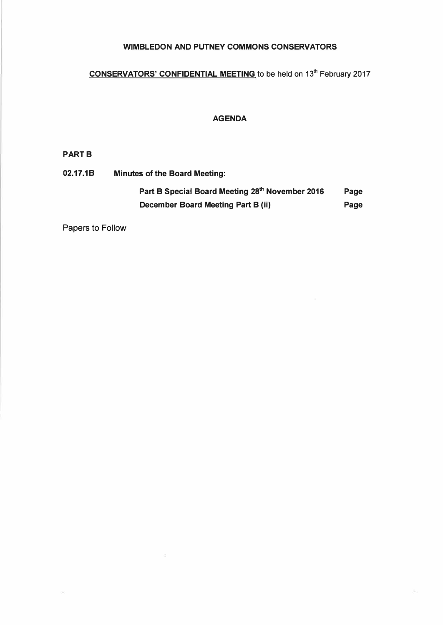# **CONSERVATORS' CONFIDENTIAL MEETING to be held on 13**th **February 2017**

## **AGENDA**

#### **PART B**

**02.17.1B Minutes of the Board Meeting: Part B Special Board Meeting 28th November 2016 Page December Board Meeting Part B (ii) Page Page** 

Papers to Follow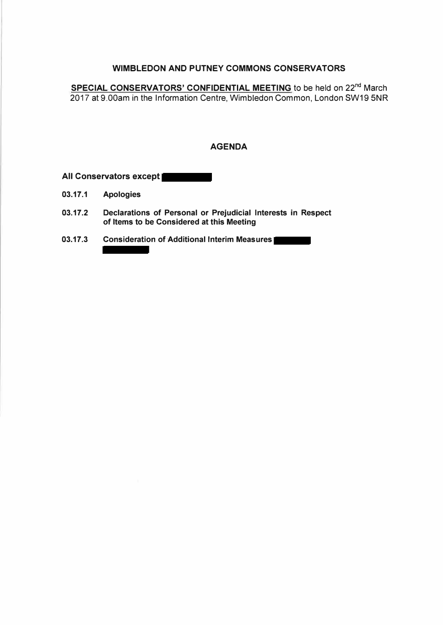SPECIAL CONSERVATORS' CONFIDENTIAL MEETING to be held on 22<sup>nd</sup> March 2017 at 9.00am in the Information Centre, Wimbledon Common, London SW19 5NR

#### **AGENDA**

**All Conservators except** 

- **03.17.1 Apologies**
- **03.17.2 Declarations of Personal or Prejudicial Interests in Respect of Items to be Considered at this Meeting**
- **03.17.3 Consideration of Additional Interim Measures**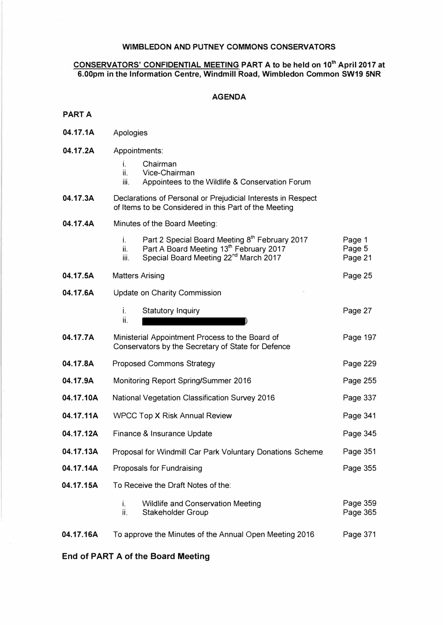#### **CONSERVATORS' CONFIDENTIAL MEETING PART A to be held on 10th April 2017 at 6.00pm in the Information Centre, Windmill Road, Wimbledon Common SW19 5NR**

#### **AGENDA**

#### **PART A**

- **04.17.1A**  Apologies
- **04.17.2A**  Appointments:
	- i. Chairman<br>ii. Vice-Chair
	- ii. Vice-Chairman<br>iii. Appointees to tl
	- Appointees to the Wildlife & Conservation Forum
- **04.17.3A**  Declarations of Personal or Prejudicial Interests in Respect of Items to be Considered in this Part of the Meeting
- **04.17.4A**  Minutes of the Board Meeting:

|           | Part 2 Special Board Meeting 8th February 2017<br>i.<br>Part A Board Meeting 13th February 2017<br>ii.<br>Special Board Meeting 22 <sup>nd</sup> March 2017<br>iii. | Page 1<br>Page 5<br>Page 21 |
|-----------|---------------------------------------------------------------------------------------------------------------------------------------------------------------------|-----------------------------|
| 04.17.5A  | <b>Matters Arising</b>                                                                                                                                              | Page 25                     |
| 04.17.6A  | Update on Charity Commission                                                                                                                                        |                             |
|           | i.<br><b>Statutory Inquiry</b><br>ii.                                                                                                                               | Page 27                     |
| 04.17.7A  | Ministerial Appointment Process to the Board of<br>Conservators by the Secretary of State for Defence                                                               | Page 197                    |
| 04.17.8A  | <b>Proposed Commons Strategy</b>                                                                                                                                    | Page 229                    |
| 04.17.9A  | Monitoring Report Spring/Summer 2016                                                                                                                                | Page 255                    |
| 04.17.10A | <b>National Vegetation Classification Survey 2016</b>                                                                                                               | Page 337                    |
| 04.17.11A | <b>WPCC Top X Risk Annual Review</b>                                                                                                                                | Page 341                    |
| 04.17.12A | Finance & Insurance Update                                                                                                                                          | Page 345                    |
| 04.17.13A | Proposal for Windmill Car Park Voluntary Donations Scheme                                                                                                           | Page 351                    |
| 04.17.14A | Proposals for Fundraising                                                                                                                                           | Page 355                    |
| 04.17.15A | To Receive the Draft Notes of the:                                                                                                                                  |                             |
|           | i.<br><b>Wildlife and Conservation Meeting</b><br>it.<br><b>Stakeholder Group</b>                                                                                   | Page 359<br>Page 365        |
| 04.17.16A | To approve the Minutes of the Annual Open Meeting 2016                                                                                                              | Page 371                    |

#### **End of PART A of the Board Meeting**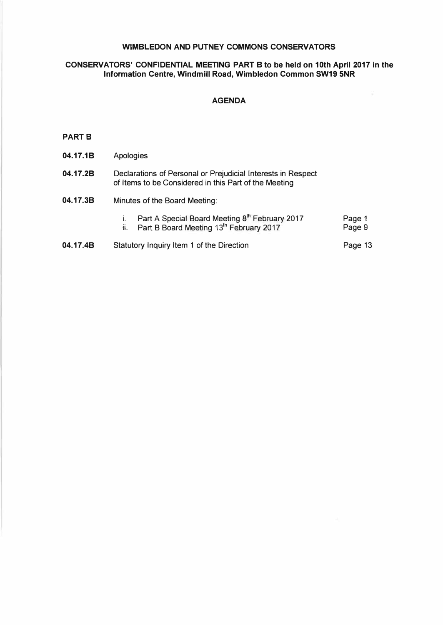#### **CONSERVATORS' CONFIDENTIAL MEETING PART B to be held on 10th April 2017 in the Information Centre, Windmill Road, Wimbledon Common SW19 5NR**

#### **AGENDA**

#### **PARTS**

| 04.17.1B | Apologies                                                                                                                |                  |
|----------|--------------------------------------------------------------------------------------------------------------------------|------------------|
| 04.17.2B | Declarations of Personal or Prejudicial Interests in Respect<br>of Items to be Considered in this Part of the Meeting    |                  |
| 04.17.3B | Minutes of the Board Meeting:                                                                                            |                  |
|          | i. Part A Special Board Meeting 8 <sup>th</sup> February 2017<br>ii. Part B Board Meeting 13 <sup>th</sup> February 2017 | Page 1<br>Page 9 |
| 04.17.4B | Statutory Inquiry Item 1 of the Direction                                                                                | Page 13          |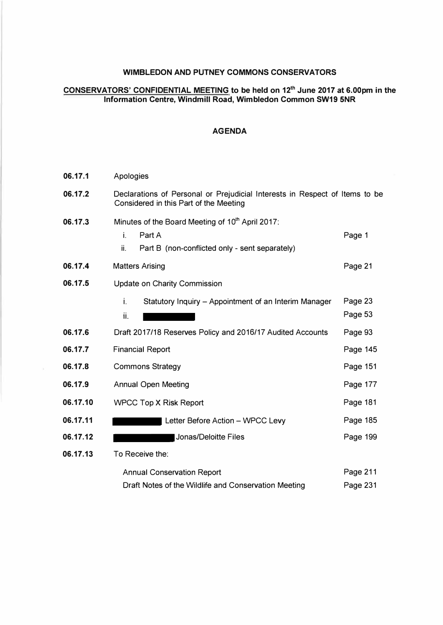#### **CONSERVATORS' CONFIDENTIAL MEETING to be held on 12th June 2017 at 6.00pm in the Information Centre, Windmill Road, Wimbledon Common SW19 5NR**

| 06.17.1  | Apologies                                                                                                                 |                      |
|----------|---------------------------------------------------------------------------------------------------------------------------|----------------------|
| 06.17.2  | Declarations of Personal or Prejudicial Interests in Respect of Items to be<br>Considered in this Part of the Meeting     |                      |
| 06.17.3  | Minutes of the Board Meeting of 10th April 2017:<br>i.<br>Part A<br>Part B (non-conflicted only - sent separately)<br>ii. | Page 1               |
| 06.17.4  | <b>Matters Arising</b>                                                                                                    | Page 21              |
| 06.17.5  | <b>Update on Charity Commission</b>                                                                                       |                      |
|          | i.<br>Statutory Inquiry - Appointment of an Interim Manager<br>ii.                                                        | Page 23<br>Page 53   |
| 06.17.6  | Draft 2017/18 Reserves Policy and 2016/17 Audited Accounts                                                                | Page 93              |
| 06.17.7  | <b>Financial Report</b>                                                                                                   | Page 145             |
| 06.17.8  | <b>Commons Strategy</b>                                                                                                   | Page 151             |
| 06.17.9  | <b>Annual Open Meeting</b>                                                                                                | Page 177             |
| 06.17.10 | <b>WPCC Top X Risk Report</b>                                                                                             | Page 181             |
| 06.17.11 | Letter Before Action - WPCC Levy                                                                                          | Page 185             |
| 06.17.12 | Jonas/Deloitte Files                                                                                                      | Page 199             |
| 06.17.13 | To Receive the:                                                                                                           |                      |
|          | <b>Annual Conservation Report</b><br>Draft Notes of the Wildlife and Conservation Meeting                                 | Page 211<br>Page 231 |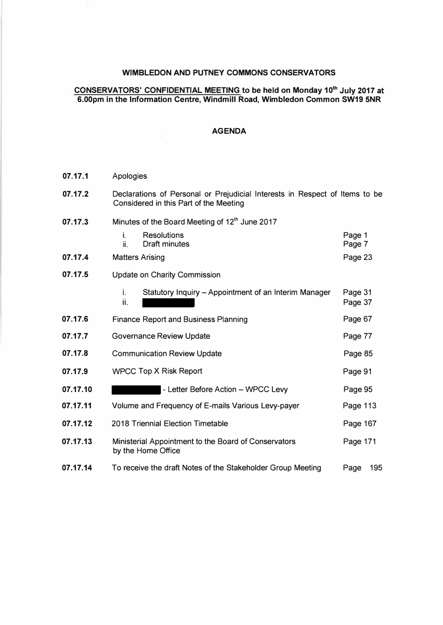#### **CONSERVATORS' CONFIDENTIAL MEETING to be held on Monday 10th July 2017 at 6.00pm in the Information Centre, Windmill Road, Wimbledon Common SW19 5NR**

| 07.17.1  | Apologies                                                                                                             |                    |
|----------|-----------------------------------------------------------------------------------------------------------------------|--------------------|
| 07.17.2  | Declarations of Personal or Prejudicial Interests in Respect of Items to be<br>Considered in this Part of the Meeting |                    |
| 07.17.3  | Minutes of the Board Meeting of 12th June 2017                                                                        |                    |
|          | <b>Resolutions</b><br>İ.<br>ii.<br><b>Draft minutes</b>                                                               | Page 1<br>Page 7   |
| 07.17.4  | <b>Matters Arising</b>                                                                                                | Page 23            |
| 07.17.5  | <b>Update on Charity Commission</b>                                                                                   |                    |
|          | i.<br>Statutory Inquiry - Appointment of an Interim Manager<br>ii.                                                    | Page 31<br>Page 37 |
| 07.17.6  | <b>Finance Report and Business Planning</b>                                                                           | Page 67            |
| 07.17.7  | <b>Governance Review Update</b>                                                                                       | Page 77            |
| 07.17.8  | <b>Communication Review Update</b>                                                                                    | Page 85            |
| 07.17.9  | <b>WPCC Top X Risk Report</b>                                                                                         | Page 91            |
| 07.17.10 | - Letter Before Action - WPCC Levy                                                                                    | Page 95            |
| 07.17.11 | Volume and Frequency of E-mails Various Levy-payer                                                                    | Page 113           |
| 07.17.12 | 2018 Triennial Election Timetable                                                                                     | Page 167           |
| 07.17.13 | Ministerial Appointment to the Board of Conservators<br>by the Home Office                                            | Page 171           |
| 07.17.14 | To receive the draft Notes of the Stakeholder Group Meeting                                                           | 195<br>Page        |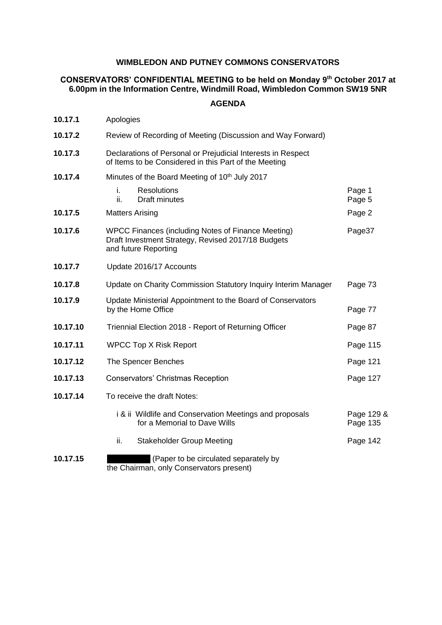### **CONSERVATORS' CONFIDENTIAL MEETING to be held on Monday 9 th October 2017 at 6.00pm in the Information Centre, Windmill Road, Wimbledon Common SW19 5NR**

| 10.17.1  | Apologies                                                                                                                        |                        |
|----------|----------------------------------------------------------------------------------------------------------------------------------|------------------------|
| 10.17.2  | Review of Recording of Meeting (Discussion and Way Forward)                                                                      |                        |
| 10.17.3  | Declarations of Personal or Prejudicial Interests in Respect<br>of Items to be Considered in this Part of the Meeting            |                        |
| 10.17.4  | Minutes of the Board Meeting of 10 <sup>th</sup> July 2017                                                                       |                        |
|          | i.<br><b>Resolutions</b><br>ii.<br>Draft minutes                                                                                 | Page 1<br>Page 5       |
| 10.17.5  | <b>Matters Arising</b>                                                                                                           | Page 2                 |
| 10.17.6  | WPCC Finances (including Notes of Finance Meeting)<br>Draft Investment Strategy, Revised 2017/18 Budgets<br>and future Reporting | Page37                 |
| 10.17.7  | Update 2016/17 Accounts                                                                                                          |                        |
| 10.17.8  | Update on Charity Commission Statutory Inquiry Interim Manager                                                                   | Page 73                |
| 10.17.9  | Update Ministerial Appointment to the Board of Conservators<br>by the Home Office                                                | Page 77                |
| 10.17.10 | Triennial Election 2018 - Report of Returning Officer                                                                            | Page 87                |
| 10.17.11 | <b>WPCC Top X Risk Report</b>                                                                                                    | Page 115               |
| 10.17.12 | The Spencer Benches                                                                                                              | Page 121               |
| 10.17.13 | Conservators' Christmas Reception                                                                                                | Page 127               |
| 10.17.14 | To receive the draft Notes:                                                                                                      |                        |
|          | i & ii Wildlife and Conservation Meetings and proposals<br>for a Memorial to Dave Wills                                          | Page 129 &<br>Page 135 |
|          | ii.<br><b>Stakeholder Group Meeting</b>                                                                                          | Page 142               |
| 10.17.15 | (Paper to be circulated separately by<br>the Chairman, only Conservators present)                                                |                        |